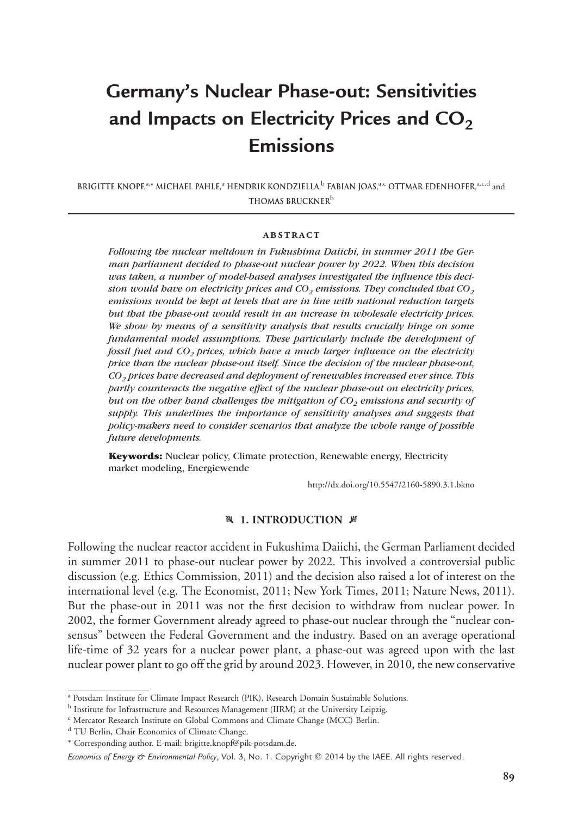# **Germany's Nuclear Phase-out: Sensitivities** and Impacts on Electricity Prices and CO<sub>2</sub> **Emissions**

**Brigitte Knopf,**a,**\* Michael Pahle,**<sup>a</sup> **Hendrik Kondziella,**<sup>b</sup> **Fabian Joas,**a,c **Ottmar Edenhofer,**a,c,d and **Thomas Bruckner**b

#### **abstract**

*Following the nuclear meltdown in Fukushima Daiichi, in summer 2011 the German parliament decided to phase-out nuclear power by 2022. When this decision was taken, a number of model-based analyses investigated the influence this decision would have on electricity prices and CO<sub>2</sub> emissions. They concluded that CO<sub>2</sub> emissions would be kept at levels that are in line with national reduction targets but that the phase-out would result in an increase in wholesale electricity prices. We show by means of a sensitivity analysis that results crucially hinge on some fundamental model assumptions. These particularly include the development of fossil fuel and CO2 prices, which have a much larger influence on the electricity price than the nuclear phase-out itself. Since the decision of the nuclear phase-out, CO2 prices have decreased and deployment of renewables increased ever since. This partly counteracts the negative effect of the nuclear phase-out on electricity prices, but on the other hand challenges the mitigation of CO<sub>2</sub> emissions and security of supply. This underlines the importance of sensitivity analyses and suggests that policy-makers need to consider scenarios that analyze the whole range of possible future developments.*

**Keywords:** Nuclear policy, Climate protection, Renewable energy, Electricity market modeling, Energiewende

http://dx.doi.org/10.5547/2160-5890.3.1.bkno

## **4 1. INTRODUCTION**  $\not\equiv$

Following the nuclear reactor accident in Fukushima Daiichi, the German Parliament decided in summer 2011 to phase-out nuclear power by 2022. This involved a controversial public discussion (e.g. Ethics Commission, 2011) and the decision also raised a lot of interest on the international level (e.g. The Economist, 2011; New York Times, 2011; Nature News, 2011). But the phase-out in 2011 was not the first decision to withdraw from nuclear power. In 2002, the former Government already agreed to phase-out nuclear through the "nuclear consensus" between the Federal Government and the industry. Based on an average operational life-time of 32 years for a nuclear power plant, a phase-out was agreed upon with the last nuclear power plant to go off the grid by around 2023. However, in 2010, the new conservative

<sup>&</sup>lt;sup>a</sup> Potsdam Institute for Climate Impact Research (PIK), Research Domain Sustainable Solutions.

<sup>b</sup> Institute for Infrastructure and Resources Management (IIRM) at the University Leipzig.

<sup>c</sup> Mercator Research Institute on Global Commons and Climate Change (MCC) Berlin.

<sup>d</sup> TU Berlin, Chair Economics of Climate Change.

<sup>\*</sup> Corresponding author. E-mail: brigitte.knopf@pik-potsdam.de.

Economics of Energy & Environmental Policy, Vol. 3, No. 1. Copyright © 2014 by the IAEE. All rights reserved.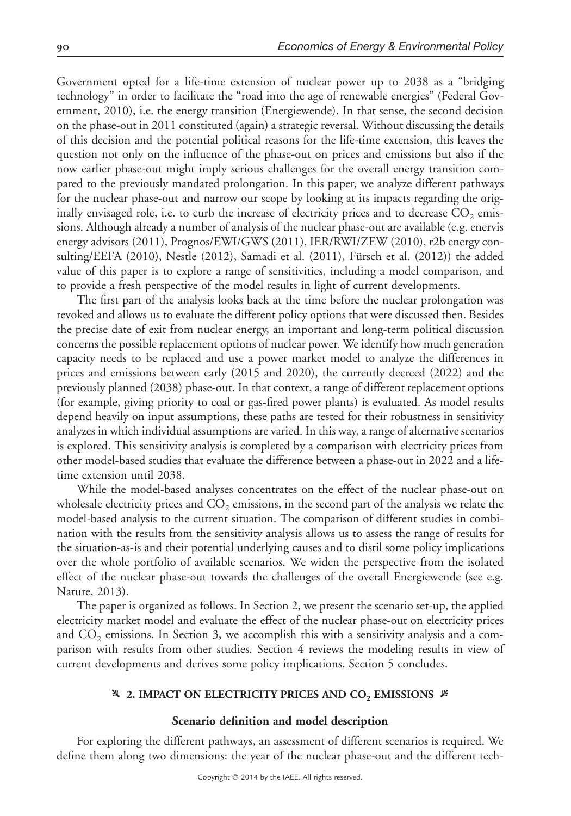Government opted for a life-time extension of nuclear power up to 2038 as a "bridging technology" in order to facilitate the "road into the age of renewable energies" (Federal Government, 2010), i.e. the energy transition (Energiewende). In that sense, the second decision on the phase-out in 2011 constituted (again) a strategic reversal. Without discussing the details of this decision and the potential political reasons for the life-time extension, this leaves the question not only on the influence of the phase-out on prices and emissions but also if the now earlier phase-out might imply serious challenges for the overall energy transition compared to the previously mandated prolongation. In this paper, we analyze different pathways for the nuclear phase-out and narrow our scope by looking at its impacts regarding the originally envisaged role, i.e. to curb the increase of electricity prices and to decrease  $CO<sub>2</sub>$  emissions. Although already a number of analysis of the nuclear phase-out are available (e.g. enervis energy advisors (2011), Prognos/EWI/GWS (2011), IER/RWI/ZEW (2010), r2b energy consulting/EEFA (2010), Nestle (2012), Samadi et al. (2011), Fürsch et al. (2012)) the added value of this paper is to explore a range of sensitivities, including a model comparison, and to provide a fresh perspective of the model results in light of current developments.

The first part of the analysis looks back at the time before the nuclear prolongation was revoked and allows us to evaluate the different policy options that were discussed then. Besides the precise date of exit from nuclear energy, an important and long-term political discussion concerns the possible replacement options of nuclear power. We identify how much generation capacity needs to be replaced and use a power market model to analyze the differences in prices and emissions between early (2015 and 2020), the currently decreed (2022) and the previously planned (2038) phase-out. In that context, a range of different replacement options (for example, giving priority to coal or gas-fired power plants) is evaluated. As model results depend heavily on input assumptions, these paths are tested for their robustness in sensitivity analyzes in which individual assumptions are varied. In this way, a range of alternative scenarios is explored. This sensitivity analysis is completed by a comparison with electricity prices from other model-based studies that evaluate the difference between a phase-out in 2022 and a lifetime extension until 2038.

While the model-based analyses concentrates on the effect of the nuclear phase-out on wholesale electricity prices and  $CO<sub>2</sub>$  emissions, in the second part of the analysis we relate the model-based analysis to the current situation. The comparison of different studies in combination with the results from the sensitivity analysis allows us to assess the range of results for the situation-as-is and their potential underlying causes and to distil some policy implications over the whole portfolio of available scenarios. We widen the perspective from the isolated effect of the nuclear phase-out towards the challenges of the overall Energiewende (see e.g. Nature, 2013).

The paper is organized as follows. In Section 2, we present the scenario set-up, the applied electricity market model and evaluate the effect of the nuclear phase-out on electricity prices and  $CO<sub>2</sub>$  emissions. In Section 3, we accomplish this with a sensitivity analysis and a comparison with results from other studies. Section 4 reviews the modeling results in view of current developments and derives some policy implications. Section 5 concludes.

# **42. IMPACT ON ELECTRICITY PRICES AND CO<sub>2</sub> EMISSIONS**  $\cancel{\mu}$

# **Scenario definition and model description**

For exploring the different pathways, an assessment of different scenarios is required. We define them along two dimensions: the year of the nuclear phase-out and the different tech-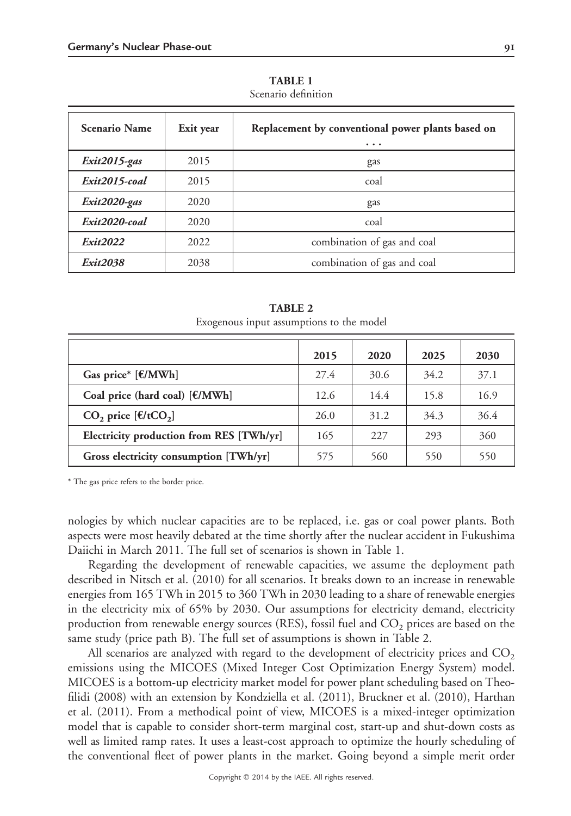| <b>Scenario Name</b> | Exit year | Replacement by conventional power plants based on<br>$\cdots$ |  |
|----------------------|-----------|---------------------------------------------------------------|--|
| Exit2015-gas         | 2015      | gas                                                           |  |
| Exit2015-coal        | 2015      | coal                                                          |  |
| Exit2020-gas         | 2020      | gas                                                           |  |
| Exit2020-coal        | 2020      | coal                                                          |  |
| Exit2022             | 2022      | combination of gas and coal                                   |  |
| Exit2038             | 2038      | combination of gas and coal                                   |  |

**TABLE 1** Scenario definition

| <b>TABLE 2</b>                           |  |  |  |  |  |  |
|------------------------------------------|--|--|--|--|--|--|
| Exogenous input assumptions to the model |  |  |  |  |  |  |

|                                          | 2015 | 2020 | 2025 | 2030 |
|------------------------------------------|------|------|------|------|
| Gas price* $[£/MWh]$                     | 27.4 | 30.6 | 34.2 | 37.1 |
| Coal price (hard coal) [€/MWh]           | 12.6 | 14.4 | 15.8 | 16.9 |
| CO <sub>2</sub> price $[f/(tCO2)]$       | 26.0 | 31.2 | 34.3 | 36.4 |
| Electricity production from RES [TWh/yr] | 165  | 227  | 293  | 360  |
| Gross electricity consumption [TWh/yr]   | 575  | 560  | 550  | 550  |

\* The gas price refers to the border price.

nologies by which nuclear capacities are to be replaced, i.e. gas or coal power plants. Both aspects were most heavily debated at the time shortly after the nuclear accident in Fukushima Daiichi in March 2011. The full set of scenarios is shown in Table 1.

Regarding the development of renewable capacities, we assume the deployment path described in Nitsch et al. (2010) for all scenarios. It breaks down to an increase in renewable energies from 165 TWh in 2015 to 360 TWh in 2030 leading to a share of renewable energies in the electricity mix of 65% by 2030. Our assumptions for electricity demand, electricity production from renewable energy sources (RES), fossil fuel and  $CO<sub>2</sub>$  prices are based on the same study (price path B). The full set of assumptions is shown in Table 2.

All scenarios are analyzed with regard to the development of electricity prices and  $CO<sub>2</sub>$ emissions using the MICOES (Mixed Integer Cost Optimization Energy System) model. MICOES is a bottom-up electricity market model for power plant scheduling based on Theofilidi (2008) with an extension by Kondziella et al. (2011), Bruckner et al. (2010), Harthan et al. (2011). From a methodical point of view, MICOES is a mixed-integer optimization model that is capable to consider short-term marginal cost, start-up and shut-down costs as well as limited ramp rates. It uses a least-cost approach to optimize the hourly scheduling of the conventional fleet of power plants in the market. Going beyond a simple merit order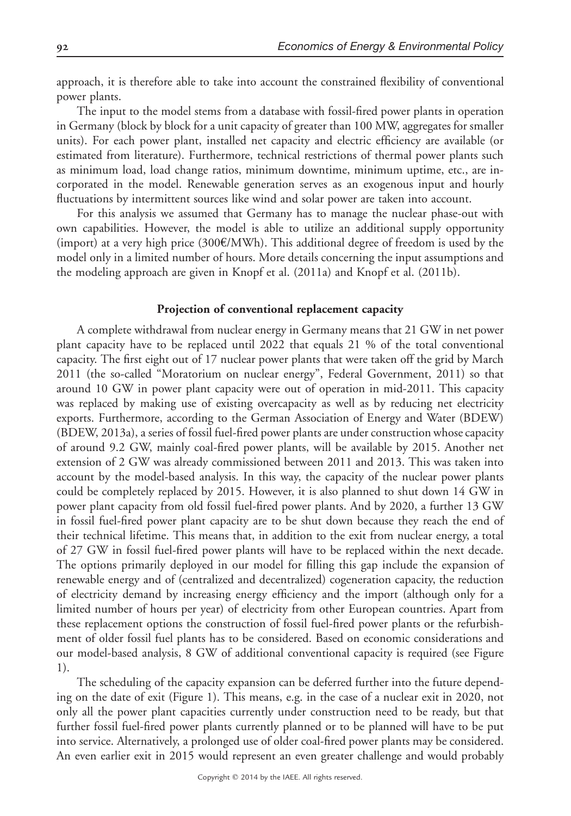approach, it is therefore able to take into account the constrained flexibility of conventional power plants.

The input to the model stems from a database with fossil-fired power plants in operation in Germany (block by block for a unit capacity of greater than 100 MW, aggregates for smaller units). For each power plant, installed net capacity and electric efficiency are available (or estimated from literature). Furthermore, technical restrictions of thermal power plants such as minimum load, load change ratios, minimum downtime, minimum uptime, etc., are incorporated in the model. Renewable generation serves as an exogenous input and hourly fluctuations by intermittent sources like wind and solar power are taken into account.

For this analysis we assumed that Germany has to manage the nuclear phase-out with own capabilities. However, the model is able to utilize an additional supply opportunity (import) at a very high price  $(300 \text{E/MWh})$ . This additional degree of freedom is used by the model only in a limited number of hours. More details concerning the input assumptions and the modeling approach are given in Knopf et al. (2011a) and Knopf et al. (2011b).

#### **Projection of conventional replacement capacity**

A complete withdrawal from nuclear energy in Germany means that 21 GW in net power plant capacity have to be replaced until 2022 that equals 21 % of the total conventional capacity. The first eight out of 17 nuclear power plants that were taken off the grid by March 2011 (the so-called "Moratorium on nuclear energy", Federal Government, 2011) so that around 10 GW in power plant capacity were out of operation in mid-2011. This capacity was replaced by making use of existing overcapacity as well as by reducing net electricity exports. Furthermore, according to the German Association of Energy and Water (BDEW) (BDEW, 2013a), a series of fossil fuel-fired power plants are under construction whose capacity of around 9.2 GW, mainly coal-fired power plants, will be available by 2015. Another net extension of 2 GW was already commissioned between 2011 and 2013. This was taken into account by the model-based analysis. In this way, the capacity of the nuclear power plants could be completely replaced by 2015. However, it is also planned to shut down 14 GW in power plant capacity from old fossil fuel-fired power plants. And by 2020, a further 13 GW in fossil fuel-fired power plant capacity are to be shut down because they reach the end of their technical lifetime. This means that, in addition to the exit from nuclear energy, a total of 27 GW in fossil fuel-fired power plants will have to be replaced within the next decade. The options primarily deployed in our model for filling this gap include the expansion of renewable energy and of (centralized and decentralized) cogeneration capacity, the reduction of electricity demand by increasing energy efficiency and the import (although only for a limited number of hours per year) of electricity from other European countries. Apart from these replacement options the construction of fossil fuel-fired power plants or the refurbishment of older fossil fuel plants has to be considered. Based on economic considerations and our model-based analysis, 8 GW of additional conventional capacity is required (see Figure 1).

The scheduling of the capacity expansion can be deferred further into the future depending on the date of exit (Figure 1). This means, e.g. in the case of a nuclear exit in 2020, not only all the power plant capacities currently under construction need to be ready, but that further fossil fuel-fired power plants currently planned or to be planned will have to be put into service. Alternatively, a prolonged use of older coal-fired power plants may be considered. An even earlier exit in 2015 would represent an even greater challenge and would probably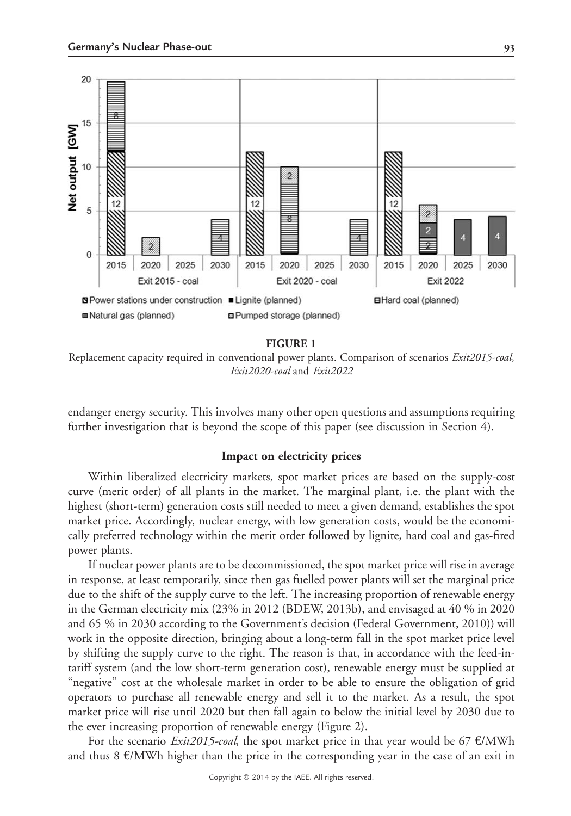

#### **FIGURE 1**

Replacement capacity required in conventional power plants. Comparison of scenarios *Exit2015-coal, Exit2020-coal* and *Exit2022*

endanger energy security. This involves many other open questions and assumptions requiring further investigation that is beyond the scope of this paper (see discussion in Section 4).

### **Impact on electricity prices**

Within liberalized electricity markets, spot market prices are based on the supply-cost curve (merit order) of all plants in the market. The marginal plant, i.e. the plant with the highest (short-term) generation costs still needed to meet a given demand, establishes the spot market price. Accordingly, nuclear energy, with low generation costs, would be the economically preferred technology within the merit order followed by lignite, hard coal and gas-fired power plants.

If nuclear power plants are to be decommissioned, the spot market price will rise in average in response, at least temporarily, since then gas fuelled power plants will set the marginal price due to the shift of the supply curve to the left. The increasing proportion of renewable energy in the German electricity mix (23% in 2012 (BDEW, 2013b), and envisaged at 40 % in 2020 and 65 % in 2030 according to the Government's decision (Federal Government, 2010)) will work in the opposite direction, bringing about a long-term fall in the spot market price level by shifting the supply curve to the right. The reason is that, in accordance with the feed-intariff system (and the low short-term generation cost), renewable energy must be supplied at "negative" cost at the wholesale market in order to be able to ensure the obligation of grid operators to purchase all renewable energy and sell it to the market. As a result, the spot market price will rise until 2020 but then fall again to below the initial level by 2030 due to the ever increasing proportion of renewable energy (Figure 2).

For the scenario *Exit2015-coal*, the spot market price in that year would be 67 €/MWh and thus  $8 \text{ E/MWh}$  higher than the price in the corresponding year in the case of an exit in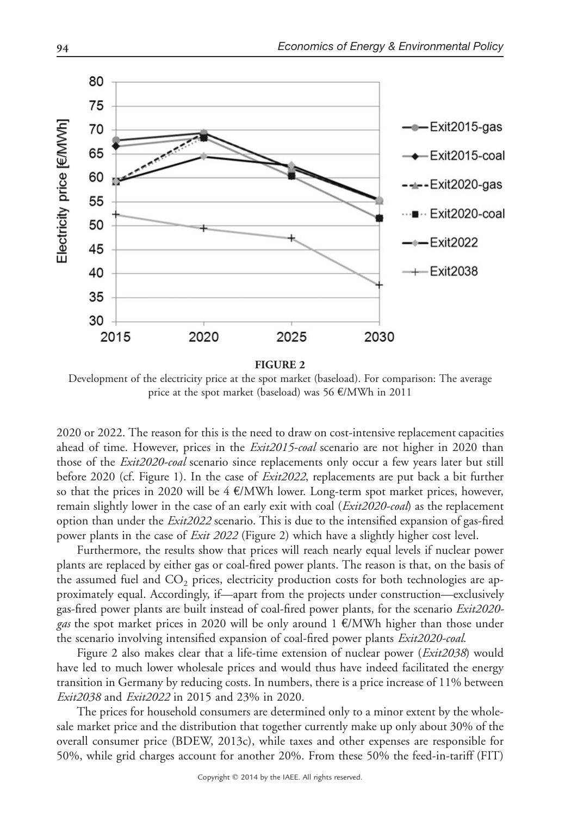

Development of the electricity price at the spot market (baseload). For comparison: The average price at the spot market (baseload) was 56 €/MWh in 2011

2020 or 2022. The reason for this is the need to draw on cost-intensive replacement capacities ahead of time. However, prices in the *Exit2015-coal* scenario are not higher in 2020 than those of the *Exit2020-coal* scenario since replacements only occur a few years later but still before 2020 (cf. Figure 1). In the case of *Exit2022*, replacements are put back a bit further so that the prices in 2020 will be  $4 \in \mathbb{K}$  WWh lower. Long-term spot market prices, however, remain slightly lower in the case of an early exit with coal (*Exit2020-coal*) as the replacement option than under the *Exit2022* scenario. This is due to the intensified expansion of gas-fired power plants in the case of *Exit 2022* (Figure 2) which have a slightly higher cost level.

Furthermore, the results show that prices will reach nearly equal levels if nuclear power plants are replaced by either gas or coal-fired power plants. The reason is that, on the basis of the assumed fuel and  $CO<sub>2</sub>$  prices, electricity production costs for both technologies are approximately equal. Accordingly, if—apart from the projects under construction—exclusively gas-fired power plants are built instead of coal-fired power plants, for the scenario *Exit2020 gas* the spot market prices in 2020 will be only around 1 €/MWh higher than those under the scenario involving intensified expansion of coal-fired power plants *Exit2020-coal*.

Figure 2 also makes clear that a life-time extension of nuclear power (*Exit2038*) would have led to much lower wholesale prices and would thus have indeed facilitated the energy transition in Germany by reducing costs. In numbers, there is a price increase of 11% between *Exit2038* and *Exit2022* in 2015 and 23% in 2020.

The prices for household consumers are determined only to a minor extent by the wholesale market price and the distribution that together currently make up only about 30% of the overall consumer price (BDEW, 2013c), while taxes and other expenses are responsible for 50%, while grid charges account for another 20%. From these 50% the feed-in-tariff (FIT)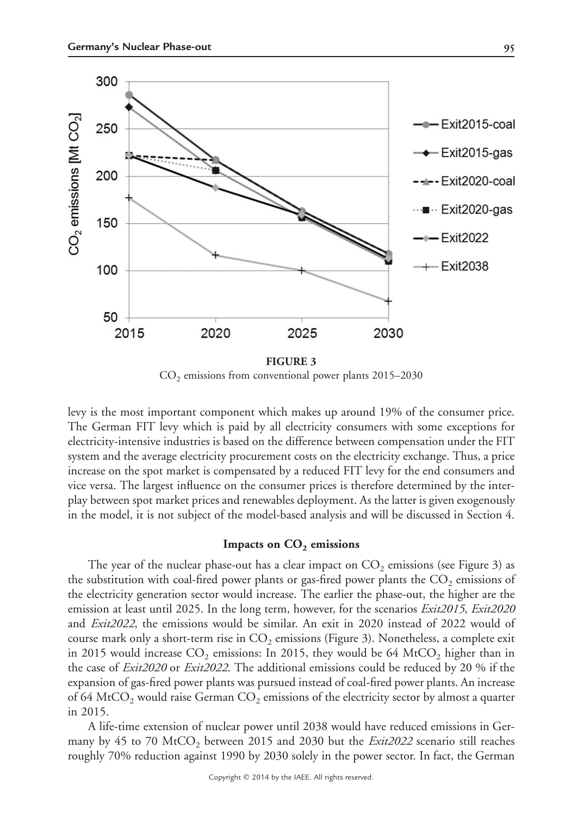

 $CO<sub>2</sub>$  emissions from conventional power plants 2015–2030

levy is the most important component which makes up around 19% of the consumer price. The German FIT levy which is paid by all electricity consumers with some exceptions for electricity-intensive industries is based on the difference between compensation under the FIT system and the average electricity procurement costs on the electricity exchange. Thus, a price increase on the spot market is compensated by a reduced FIT levy for the end consumers and vice versa. The largest influence on the consumer prices is therefore determined by the interplay between spot market prices and renewables deployment. As the latter is given exogenously in the model, it is not subject of the model-based analysis and will be discussed in Section 4.

## Impacts on CO<sub>2</sub> emissions

The year of the nuclear phase-out has a clear impact on  $CO<sub>2</sub>$  emissions (see Figure 3) as the substitution with coal-fired power plants or gas-fired power plants the  $CO<sub>2</sub>$  emissions of the electricity generation sector would increase. The earlier the phase-out, the higher are the emission at least until 2025. In the long term, however, for the scenarios *Exit2015*, *Exit2020* and *Exit2022*, the emissions would be similar. An exit in 2020 instead of 2022 would of course mark only a short-term rise in  $CO_2$  emissions (Figure 3). Nonetheless, a complete exit in 2015 would increase  $CO_2$  emissions: In 2015, they would be 64 MtCO<sub>2</sub> higher than in the case of *Exit2020* or *Exit2022*. The additional emissions could be reduced by 20 % if the expansion of gas-fired power plants was pursued instead of coal-fired power plants. An increase of 64 MtCO<sub>2</sub> would raise German CO<sub>2</sub> emissions of the electricity sector by almost a quarter in 2015.

A life-time extension of nuclear power until 2038 would have reduced emissions in Germany by 45 to 70 MtCO<sub>2</sub> between 2015 and 2030 but the *Exit2022* scenario still reaches roughly 70% reduction against 1990 by 2030 solely in the power sector. In fact, the German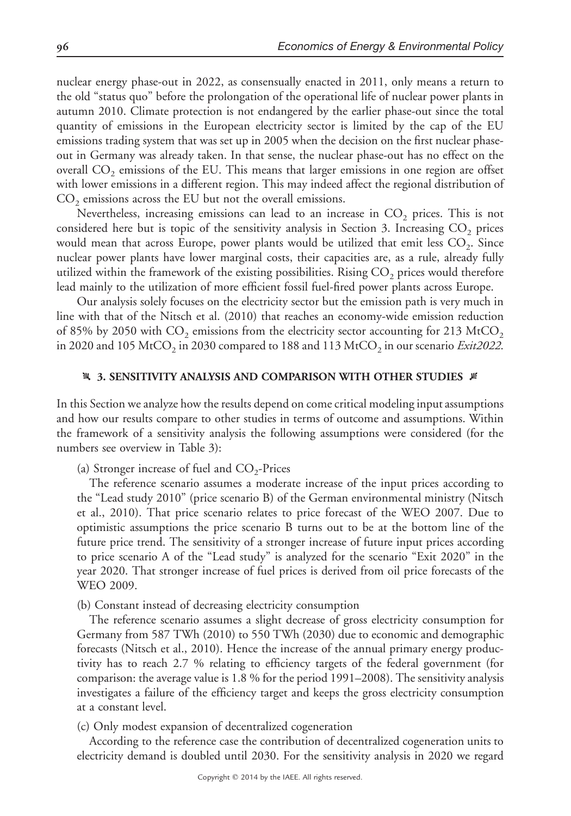nuclear energy phase-out in 2022, as consensually enacted in 2011, only means a return to the old "status quo" before the prolongation of the operational life of nuclear power plants in autumn 2010. Climate protection is not endangered by the earlier phase-out since the total quantity of emissions in the European electricity sector is limited by the cap of the EU emissions trading system that was set up in 2005 when the decision on the first nuclear phaseout in Germany was already taken. In that sense, the nuclear phase-out has no effect on the overall  $CO<sub>2</sub>$  emissions of the EU. This means that larger emissions in one region are offset with lower emissions in a different region. This may indeed affect the regional distribution of  $CO<sub>2</sub>$  emissions across the EU but not the overall emissions.

Nevertheless, increasing emissions can lead to an increase in  $CO<sub>2</sub>$  prices. This is not considered here but is topic of the sensitivity analysis in Section 3. Increasing  $CO<sub>2</sub>$  prices would mean that across Europe, power plants would be utilized that emit less  $CO<sub>2</sub>$ . Since nuclear power plants have lower marginal costs, their capacities are, as a rule, already fully utilized within the framework of the existing possibilities. Rising  $CO<sub>2</sub>$  prices would therefore lead mainly to the utilization of more efficient fossil fuel-fired power plants across Europe.

Our analysis solely focuses on the electricity sector but the emission path is very much in line with that of the Nitsch et al. (2010) that reaches an economy-wide emission reduction of 85% by 2050 with  $CO_2$  emissions from the electricity sector accounting for 213 MtCO<sub>2</sub> in 2020 and 105 MtCO<sub>2</sub> in 2030 compared to 188 and 113 MtCO<sub>2</sub> in our scenario *Exit2022*.

#### **[3. SENSITIVITY ANALYSIS AND COMPARISON WITH OTHER STUDIES**  $\cancel{\#}$

In this Section we analyze how the results depend on come critical modeling input assumptions and how our results compare to other studies in terms of outcome and assumptions. Within the framework of a sensitivity analysis the following assumptions were considered (for the numbers see overview in Table 3):

(a) Stronger increase of fuel and  $CO<sub>2</sub>$ -Prices

The reference scenario assumes a moderate increase of the input prices according to the "Lead study 2010" (price scenario B) of the German environmental ministry (Nitsch et al., 2010). That price scenario relates to price forecast of the WEO 2007. Due to optimistic assumptions the price scenario B turns out to be at the bottom line of the future price trend. The sensitivity of a stronger increase of future input prices according to price scenario A of the "Lead study" is analyzed for the scenario "Exit 2020" in the year 2020. That stronger increase of fuel prices is derived from oil price forecasts of the WEO 2009.

(b) Constant instead of decreasing electricity consumption

The reference scenario assumes a slight decrease of gross electricity consumption for Germany from 587 TWh (2010) to 550 TWh (2030) due to economic and demographic forecasts (Nitsch et al., 2010). Hence the increase of the annual primary energy productivity has to reach 2.7 % relating to efficiency targets of the federal government (for comparison: the average value is 1.8 % for the period 1991–2008). The sensitivity analysis investigates a failure of the efficiency target and keeps the gross electricity consumption at a constant level.

(c) Only modest expansion of decentralized cogeneration

According to the reference case the contribution of decentralized cogeneration units to electricity demand is doubled until 2030. For the sensitivity analysis in 2020 we regard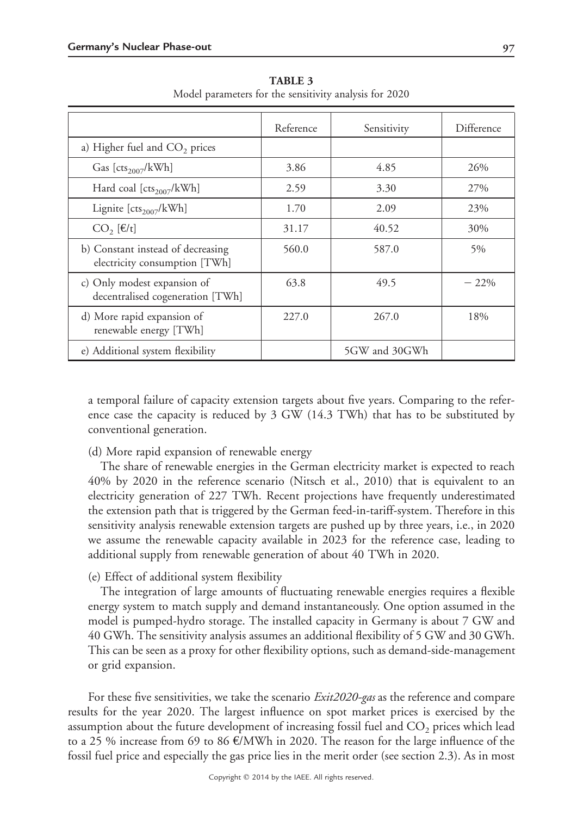|                                                                    | Reference | Sensitivity   | Difference |
|--------------------------------------------------------------------|-----------|---------------|------------|
| a) Higher fuel and CO <sub>2</sub> prices                          |           |               |            |
| Gas [ $cts2007/kWh$ ]                                              | 3.86      | 4.85          | 26%        |
| Hard coal $[cts2007/kWh]$                                          | 2.59      | 3.30          | 27%        |
| Lignite $[cts2007/kWh]$                                            | 1.70      | 2.09          | 23%        |
| $CO, [\epsilon/t]$                                                 | 31.17     | 40.52         | 30%        |
| b) Constant instead of decreasing<br>electricity consumption [TWh] | 560.0     | 587.0         | 5%         |
| c) Only modest expansion of<br>decentralised cogeneration [TWh]    | 63.8      | 49.5          | $-22\%$    |
| d) More rapid expansion of<br>renewable energy [TWh]               | 227.0     | 267.0         | 18%        |
| e) Additional system flexibility                                   |           | 5GW and 30GWh |            |

**TABLE 3** Model parameters for the sensitivity analysis for 2020

a temporal failure of capacity extension targets about five years. Comparing to the reference case the capacity is reduced by 3 GW (14.3 TWh) that has to be substituted by conventional generation.

# (d) More rapid expansion of renewable energy

The share of renewable energies in the German electricity market is expected to reach 40% by 2020 in the reference scenario (Nitsch et al., 2010) that is equivalent to an electricity generation of 227 TWh. Recent projections have frequently underestimated the extension path that is triggered by the German feed-in-tariff-system. Therefore in this sensitivity analysis renewable extension targets are pushed up by three years, i.e., in 2020 we assume the renewable capacity available in 2023 for the reference case, leading to additional supply from renewable generation of about 40 TWh in 2020.

# (e) Effect of additional system flexibility

The integration of large amounts of fluctuating renewable energies requires a flexible energy system to match supply and demand instantaneously. One option assumed in the model is pumped-hydro storage. The installed capacity in Germany is about 7 GW and 40 GWh. The sensitivity analysis assumes an additional flexibility of 5 GW and 30 GWh. This can be seen as a proxy for other flexibility options, such as demand-side-management or grid expansion.

For these five sensitivities, we take the scenario *Exit2020-gas* as the reference and compare results for the year 2020. The largest influence on spot market prices is exercised by the assumption about the future development of increasing fossil fuel and  $CO<sub>2</sub>$  prices which lead to a 25 % increase from 69 to 86 €/MWh in 2020. The reason for the large influence of the fossil fuel price and especially the gas price lies in the merit order (see section 2.3). As in most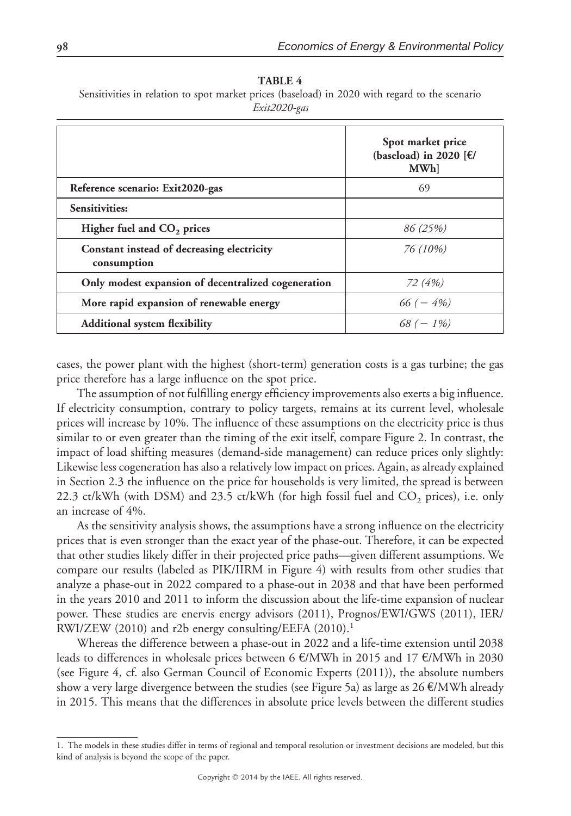**TABLE 4** Sensitivities in relation to spot market prices (baseload) in 2020 with regard to the scenario *Exit2020-gas*

|                                                           | Spot market price<br>(baseload) in 2020 [ $\epsilon$ /<br>MWh] |
|-----------------------------------------------------------|----------------------------------------------------------------|
| Reference scenario: Exit2020-gas                          | 69                                                             |
| Sensitivities:                                            |                                                                |
| Higher fuel and CO <sub>2</sub> prices                    | 86 (25%)                                                       |
| Constant instead of decreasing electricity<br>consumption | 76 (10%)                                                       |
| Only modest expansion of decentralized cogeneration       | 72 (4%)                                                        |
| More rapid expansion of renewable energy                  | $66 (-4\%)$                                                    |
| <b>Additional system flexibility</b>                      | $68 (- 1\%)$                                                   |

cases, the power plant with the highest (short-term) generation costs is a gas turbine; the gas price therefore has a large influence on the spot price.

The assumption of not fulfilling energy efficiency improvements also exerts a big influence. If electricity consumption, contrary to policy targets, remains at its current level, wholesale prices will increase by 10%. The influence of these assumptions on the electricity price is thus similar to or even greater than the timing of the exit itself, compare Figure 2. In contrast, the impact of load shifting measures (demand-side management) can reduce prices only slightly: Likewise less cogeneration has also a relatively low impact on prices. Again, as already explained in Section 2.3 the influence on the price for households is very limited, the spread is between 22.3 ct/kWh (with DSM) and 23.5 ct/kWh (for high fossil fuel and  $CO<sub>2</sub>$  prices), i.e. only an increase of 4%.

As the sensitivity analysis shows, the assumptions have a strong influence on the electricity prices that is even stronger than the exact year of the phase-out. Therefore, it can be expected that other studies likely differ in their projected price paths—given different assumptions. We compare our results (labeled as PIK/IIRM in Figure 4) with results from other studies that analyze a phase-out in 2022 compared to a phase-out in 2038 and that have been performed in the years 2010 and 2011 to inform the discussion about the life-time expansion of nuclear power. These studies are enervis energy advisors (2011), Prognos/EWI/GWS (2011), IER/ RWI/ZEW (2010) and r2b energy consulting/EEFA (2010).<sup>1</sup>

Whereas the difference between a phase-out in 2022 and a life-time extension until 2038 leads to differences in wholesale prices between 6 €/MWh in 2015 and 17 €/MWh in 2030 (see Figure 4, cf. also German Council of Economic Experts (2011)), the absolute numbers show a very large divergence between the studies (see Figure 5a) as large as 26 €/MWh already in 2015. This means that the differences in absolute price levels between the different studies

<sup>1.</sup> The models in these studies differ in terms of regional and temporal resolution or investment decisions are modeled, but this kind of analysis is beyond the scope of the paper.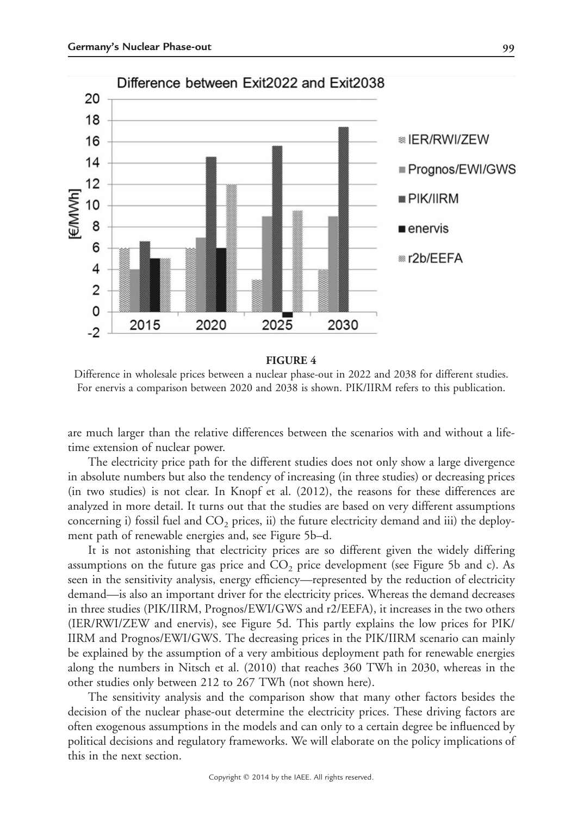

#### **FIGURE 4**

Difference in wholesale prices between a nuclear phase-out in 2022 and 2038 for different studies. For enervis a comparison between 2020 and 2038 is shown. PIK/IIRM refers to this publication.

are much larger than the relative differences between the scenarios with and without a lifetime extension of nuclear power.

The electricity price path for the different studies does not only show a large divergence in absolute numbers but also the tendency of increasing (in three studies) or decreasing prices (in two studies) is not clear. In Knopf et al. (2012), the reasons for these differences are analyzed in more detail. It turns out that the studies are based on very different assumptions concerning i) fossil fuel and  $CO<sub>2</sub>$  prices, ii) the future electricity demand and iii) the deployment path of renewable energies and, see Figure 5b–d.

It is not astonishing that electricity prices are so different given the widely differing assumptions on the future gas price and  $CO<sub>2</sub>$  price development (see Figure 5b and c). As seen in the sensitivity analysis, energy efficiency—represented by the reduction of electricity demand—is also an important driver for the electricity prices. Whereas the demand decreases in three studies (PIK/IIRM, Prognos/EWI/GWS and r2/EEFA), it increases in the two others (IER/RWI/ZEW and enervis), see Figure 5d. This partly explains the low prices for PIK/ IIRM and Prognos/EWI/GWS. The decreasing prices in the PIK/IIRM scenario can mainly be explained by the assumption of a very ambitious deployment path for renewable energies along the numbers in Nitsch et al. (2010) that reaches 360 TWh in 2030, whereas in the other studies only between 212 to 267 TWh (not shown here).

The sensitivity analysis and the comparison show that many other factors besides the decision of the nuclear phase-out determine the electricity prices. These driving factors are often exogenous assumptions in the models and can only to a certain degree be influenced by political decisions and regulatory frameworks. We will elaborate on the policy implications of this in the next section.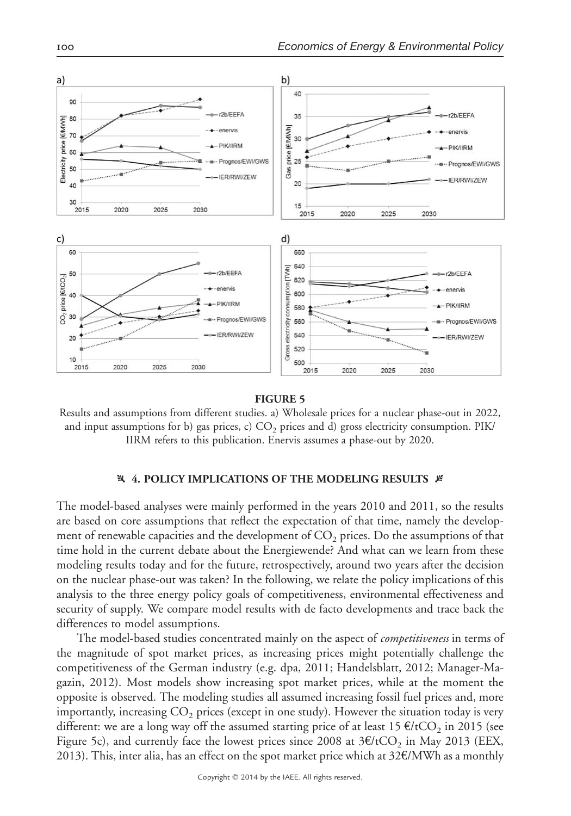

#### **FIGURE 5**

Results and assumptions from different studies. a) Wholesale prices for a nuclear phase-out in 2022, and input assumptions for b) gas prices, c)  $CO<sub>2</sub>$  prices and d) gross electricity consumption. PIK/ IIRM refers to this publication. Enervis assumes a phase-out by 2020.

#### **4. POLICY IMPLICATIONS OF THE MODELING RESULTS #**

The model-based analyses were mainly performed in the years 2010 and 2011, so the results are based on core assumptions that reflect the expectation of that time, namely the development of renewable capacities and the development of  $CO<sub>2</sub>$  prices. Do the assumptions of that time hold in the current debate about the Energiewende? And what can we learn from these modeling results today and for the future, retrospectively, around two years after the decision on the nuclear phase-out was taken? In the following, we relate the policy implications of this analysis to the three energy policy goals of competitiveness, environmental effectiveness and security of supply. We compare model results with de facto developments and trace back the differences to model assumptions.

The model-based studies concentrated mainly on the aspect of *competitiveness* in terms of the magnitude of spot market prices, as increasing prices might potentially challenge the competitiveness of the German industry (e.g. dpa, 2011; Handelsblatt, 2012; Manager-Magazin, 2012). Most models show increasing spot market prices, while at the moment the opposite is observed. The modeling studies all assumed increasing fossil fuel prices and, more importantly, increasing  $CO<sub>2</sub>$  prices (except in one study). However the situation today is very different: we are a long way off the assumed starting price of at least 15  $\epsilon$ /tCO<sub>2</sub> in 2015 (see Figure 5c), and currently face the lowest prices since 2008 at  $3E/tCO$ , in May 2013 (EEX, 2013). This, inter alia, has an effect on the spot market price which at 32€/MWh as a monthly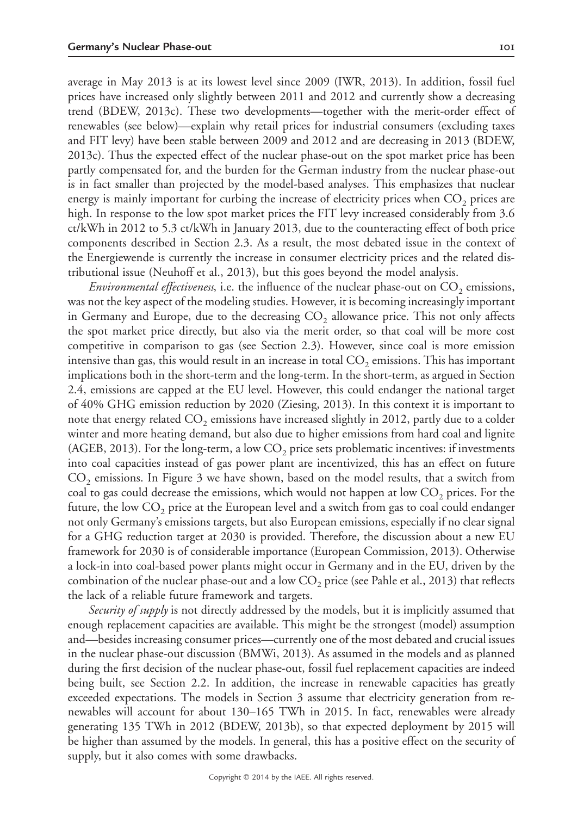average in May 2013 is at its lowest level since 2009 (IWR, 2013). In addition, fossil fuel prices have increased only slightly between 2011 and 2012 and currently show a decreasing trend (BDEW, 2013c). These two developments—together with the merit-order effect of renewables (see below)—explain why retail prices for industrial consumers (excluding taxes and FIT levy) have been stable between 2009 and 2012 and are decreasing in 2013 (BDEW, 2013c). Thus the expected effect of the nuclear phase-out on the spot market price has been partly compensated for, and the burden for the German industry from the nuclear phase-out is in fact smaller than projected by the model-based analyses. This emphasizes that nuclear energy is mainly important for curbing the increase of electricity prices when  $CO<sub>2</sub>$  prices are high. In response to the low spot market prices the FIT levy increased considerably from 3.6 ct/kWh in 2012 to 5.3 ct/kWh in January 2013, due to the counteracting effect of both price components described in Section 2.3. As a result, the most debated issue in the context of the Energiewende is currently the increase in consumer electricity prices and the related distributional issue (Neuhoff et al., 2013), but this goes beyond the model analysis.

*Environmental effectiveness*, i.e. the influence of the nuclear phase-out on  $CO<sub>2</sub>$  emissions, was not the key aspect of the modeling studies. However, it is becoming increasingly important in Germany and Europe, due to the decreasing  $CO<sub>2</sub>$  allowance price. This not only affects the spot market price directly, but also via the merit order, so that coal will be more cost competitive in comparison to gas (see Section 2.3). However, since coal is more emission intensive than gas, this would result in an increase in total  $CO<sub>2</sub>$  emissions. This has important implications both in the short-term and the long-term. In the short-term, as argued in Section 2.4, emissions are capped at the EU level. However, this could endanger the national target of 40% GHG emission reduction by 2020 (Ziesing, 2013). In this context it is important to note that energy related  $CO<sub>2</sub>$  emissions have increased slightly in 2012, partly due to a colder winter and more heating demand, but also due to higher emissions from hard coal and lignite (AGEB, 2013). For the long-term, a low  $CO<sub>2</sub>$  price sets problematic incentives: if investments into coal capacities instead of gas power plant are incentivized, this has an effect on future  $CO<sub>2</sub>$  emissions. In Figure 3 we have shown, based on the model results, that a switch from coal to gas could decrease the emissions, which would not happen at low  $CO<sub>2</sub>$  prices. For the future, the low  $CO<sub>2</sub>$  price at the European level and a switch from gas to coal could endanger not only Germany's emissions targets, but also European emissions, especially if no clear signal for a GHG reduction target at 2030 is provided. Therefore, the discussion about a new EU framework for 2030 is of considerable importance (European Commission, 2013). Otherwise a lock-in into coal-based power plants might occur in Germany and in the EU, driven by the combination of the nuclear phase-out and a low  $CO<sub>2</sub>$  price (see Pahle et al., 2013) that reflects the lack of a reliable future framework and targets.

*Security of supply* is not directly addressed by the models, but it is implicitly assumed that enough replacement capacities are available. This might be the strongest (model) assumption and—besides increasing consumer prices—currently one of the most debated and crucial issues in the nuclear phase-out discussion (BMWi, 2013). As assumed in the models and as planned during the first decision of the nuclear phase-out, fossil fuel replacement capacities are indeed being built, see Section 2.2. In addition, the increase in renewable capacities has greatly exceeded expectations. The models in Section 3 assume that electricity generation from renewables will account for about 130–165 TWh in 2015. In fact, renewables were already generating 135 TWh in 2012 (BDEW, 2013b), so that expected deployment by 2015 will be higher than assumed by the models. In general, this has a positive effect on the security of supply, but it also comes with some drawbacks.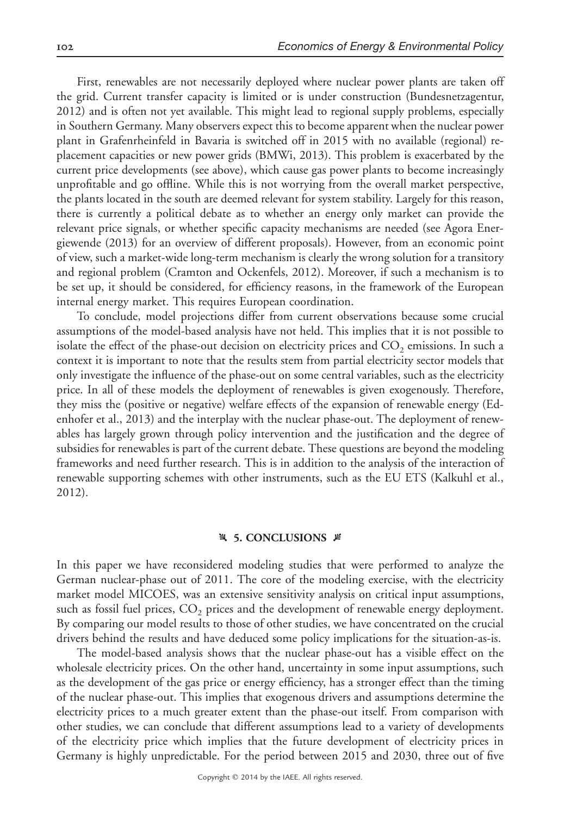First, renewables are not necessarily deployed where nuclear power plants are taken off the grid. Current transfer capacity is limited or is under construction (Bundesnetzagentur, 2012) and is often not yet available. This might lead to regional supply problems, especially in Southern Germany. Many observers expect this to become apparent when the nuclear power plant in Grafenrheinfeld in Bavaria is switched off in 2015 with no available (regional) replacement capacities or new power grids (BMWi, 2013). This problem is exacerbated by the current price developments (see above), which cause gas power plants to become increasingly unprofitable and go offline. While this is not worrying from the overall market perspective, the plants located in the south are deemed relevant for system stability. Largely for this reason, there is currently a political debate as to whether an energy only market can provide the relevant price signals, or whether specific capacity mechanisms are needed (see Agora Energiewende (2013) for an overview of different proposals). However, from an economic point of view, such a market-wide long-term mechanism is clearly the wrong solution for a transitory and regional problem (Cramton and Ockenfels, 2012). Moreover, if such a mechanism is to be set up, it should be considered, for efficiency reasons, in the framework of the European internal energy market. This requires European coordination.

To conclude, model projections differ from current observations because some crucial assumptions of the model-based analysis have not held. This implies that it is not possible to isolate the effect of the phase-out decision on electricity prices and  $CO<sub>2</sub>$  emissions. In such a context it is important to note that the results stem from partial electricity sector models that only investigate the influence of the phase-out on some central variables, such as the electricity price. In all of these models the deployment of renewables is given exogenously. Therefore, they miss the (positive or negative) welfare effects of the expansion of renewable energy (Edenhofer et al., 2013) and the interplay with the nuclear phase-out. The deployment of renewables has largely grown through policy intervention and the justification and the degree of subsidies for renewables is part of the current debate. These questions are beyond the modeling frameworks and need further research. This is in addition to the analysis of the interaction of renewable supporting schemes with other instruments, such as the EU ETS (Kalkuhl et al., 2012).

#### **4 5. CONCLUSIONS**  $\cancel{\in}$

In this paper we have reconsidered modeling studies that were performed to analyze the German nuclear-phase out of 2011. The core of the modeling exercise, with the electricity market model MICOES, was an extensive sensitivity analysis on critical input assumptions, such as fossil fuel prices,  $CO<sub>2</sub>$  prices and the development of renewable energy deployment. By comparing our model results to those of other studies, we have concentrated on the crucial drivers behind the results and have deduced some policy implications for the situation-as-is.

The model-based analysis shows that the nuclear phase-out has a visible effect on the wholesale electricity prices. On the other hand, uncertainty in some input assumptions, such as the development of the gas price or energy efficiency, has a stronger effect than the timing of the nuclear phase-out. This implies that exogenous drivers and assumptions determine the electricity prices to a much greater extent than the phase-out itself. From comparison with other studies, we can conclude that different assumptions lead to a variety of developments of the electricity price which implies that the future development of electricity prices in Germany is highly unpredictable. For the period between 2015 and 2030, three out of five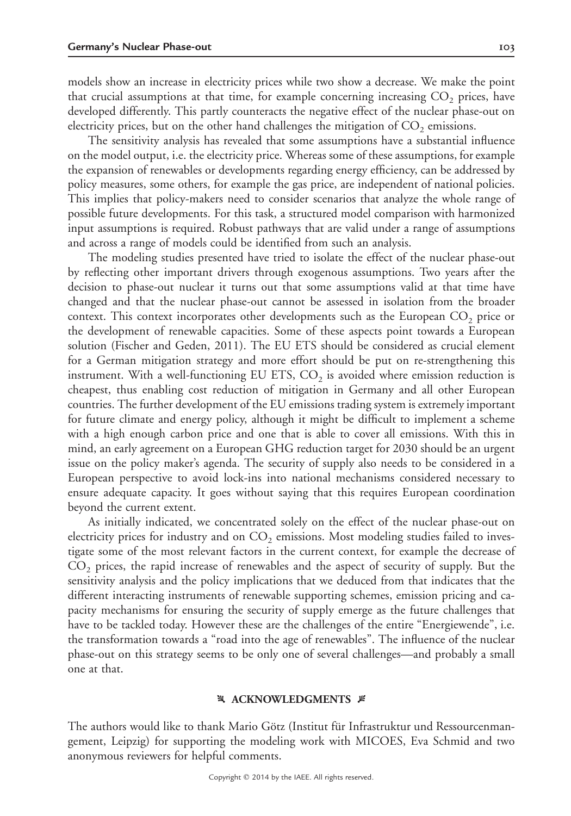models show an increase in electricity prices while two show a decrease. We make the point that crucial assumptions at that time, for example concerning increasing  $CO<sub>2</sub>$  prices, have developed differently. This partly counteracts the negative effect of the nuclear phase-out on electricity prices, but on the other hand challenges the mitigation of  $CO<sub>2</sub>$  emissions.

The sensitivity analysis has revealed that some assumptions have a substantial influence on the model output, i.e. the electricity price. Whereas some of these assumptions, for example the expansion of renewables or developments regarding energy efficiency, can be addressed by policy measures, some others, for example the gas price, are independent of national policies. This implies that policy-makers need to consider scenarios that analyze the whole range of possible future developments. For this task, a structured model comparison with harmonized input assumptions is required. Robust pathways that are valid under a range of assumptions and across a range of models could be identified from such an analysis.

The modeling studies presented have tried to isolate the effect of the nuclear phase-out by reflecting other important drivers through exogenous assumptions. Two years after the decision to phase-out nuclear it turns out that some assumptions valid at that time have changed and that the nuclear phase-out cannot be assessed in isolation from the broader context. This context incorporates other developments such as the European  $CO<sub>2</sub>$  price or the development of renewable capacities. Some of these aspects point towards a European solution (Fischer and Geden, 2011). The EU ETS should be considered as crucial element for a German mitigation strategy and more effort should be put on re-strengthening this instrument. With a well-functioning EU ETS,  $CO<sub>2</sub>$  is avoided where emission reduction is cheapest, thus enabling cost reduction of mitigation in Germany and all other European countries. The further development of the EU emissions trading system is extremely important for future climate and energy policy, although it might be difficult to implement a scheme with a high enough carbon price and one that is able to cover all emissions. With this in mind, an early agreement on a European GHG reduction target for 2030 should be an urgent issue on the policy maker's agenda. The security of supply also needs to be considered in a European perspective to avoid lock-ins into national mechanisms considered necessary to ensure adequate capacity. It goes without saying that this requires European coordination beyond the current extent.

As initially indicated, we concentrated solely on the effect of the nuclear phase-out on electricity prices for industry and on  $CO<sub>2</sub>$  emissions. Most modeling studies failed to investigate some of the most relevant factors in the current context, for example the decrease of CO<sub>2</sub> prices, the rapid increase of renewables and the aspect of security of supply. But the sensitivity analysis and the policy implications that we deduced from that indicates that the different interacting instruments of renewable supporting schemes, emission pricing and capacity mechanisms for ensuring the security of supply emerge as the future challenges that have to be tackled today. However these are the challenges of the entire "Energiewende", i.e. the transformation towards a "road into the age of renewables". The influence of the nuclear phase-out on this strategy seems to be only one of several challenges—and probably a small one at that.

#### **X ACKNOWLEDGMENTS #**

The authors would like to thank Mario Götz (Institut für Infrastruktur und Ressourcenmangement, Leipzig) for supporting the modeling work with MICOES, Eva Schmid and two anonymous reviewers for helpful comments.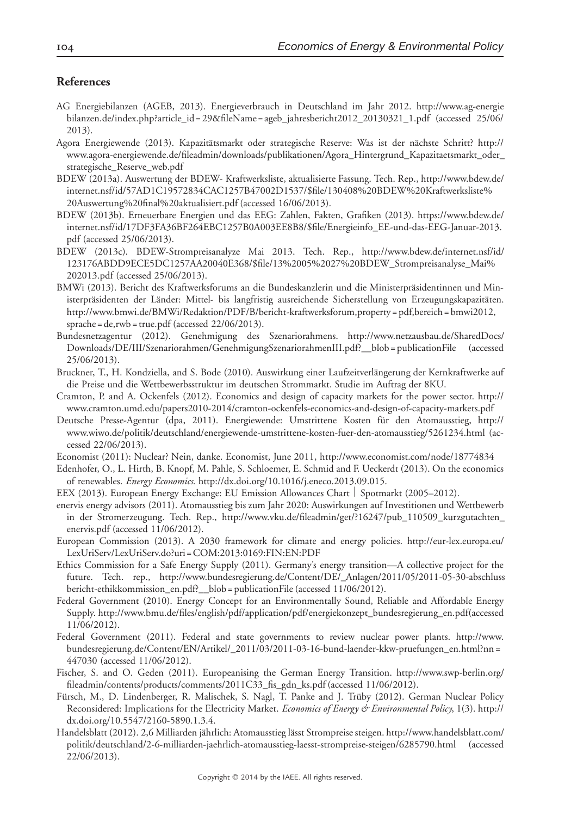# **References**

- AG Energiebilanzen (AGEB, 2013). Energieverbrauch in Deutschland im Jahr 2012. http://www.ag-energie bilanzen.de/index.php?article\_id = 29&fileName = ageb\_jahresbericht2012\_20130321\_1.pdf (accessed 25/06/ 2013).
- Agora Energiewende (2013). Kapazitätsmarkt oder strategische Reserve: Was ist der nächste Schritt? http:// www.agora-energiewende.de/fileadmin/downloads/publikationen/Agora\_Hintergrund\_Kapazitaetsmarkt\_oder\_ strategische\_Reserve\_web.pdf
- BDEW (2013a). Auswertung der BDEW- Kraftwerksliste, aktualisierte Fassung. Tech. Rep., http://www.bdew.de/ internet.nsf/id/57AD1C19572834CAC1257B47002D1537/\$file/130408%20BDEW%20Kraftwerksliste% 20Auswertung%20final%20aktualisiert.pdf (accessed 16/06/2013).
- BDEW (2013b). Erneuerbare Energien und das EEG: Zahlen, Fakten, Grafiken (2013). https://www.bdew.de/ internet.nsf/id/17DF3FA36BF264EBC1257B0A003EE8B8/\$file/Energieinfo\_EE-und-das-EEG-Januar-2013. pdf (accessed 25/06/2013).
- BDEW (2013c). BDEW-Strompreisanalyze Mai 2013. Tech. Rep., http://www.bdew.de/internet.nsf/id/ 123176ABDD9ECE5DC1257AA20040E368/\$file/13%2005%2027%20BDEW\_Strompreisanalyse\_Mai% 202013.pdf (accessed 25/06/2013).
- BMWi (2013). Bericht des Kraftwerksforums an die Bundeskanzlerin und die Ministerpräsidentinnen und Ministerpräsidenten der Länder: Mittel- bis langfristig ausreichende Sicherstellung von Erzeugungskapazitäten. http://www.bmwi.de/BMWi/Redaktion/PDF/B/bericht-kraftwerksforum,property = pdf,bereich = bmwi2012, sprache = de,rwb = true.pdf (accessed 22/06/2013).
- Bundesnetzagentur (2012). Genehmigung des Szenariorahmens. http://www.netzausbau.de/SharedDocs/ Downloads/DE/III/Szenariorahmen/GenehmigungSzenariorahmenIII.pdf?\_\_blob = publicationFile (accessed 25/06/2013).
- Bruckner, T., H. Kondziella, and S. Bode (2010). Auswirkung einer Laufzeitverlängerung der Kernkraftwerke auf die Preise und die Wettbewerbsstruktur im deutschen Strommarkt. Studie im Auftrag der 8KU.
- Cramton, P. and A. Ockenfels (2012). Economics and design of capacity markets for the power sector. http:// www.cramton.umd.edu/papers2010-2014/cramton-ockenfels-economics-and-design-of-capacity-markets.pdf
- Deutsche Presse-Agentur (dpa, 2011). Energiewende: Umstrittene Kosten fu¨r den Atomausstieg, http:// www.wiwo.de/politik/deutschland/energiewende-umstrittene-kosten-fuer-den-atomausstieg/5261234.html (accessed 22/06/2013).
- Economist (2011): Nuclear? Nein, danke. Economist, June 2011, http://www.economist.com/node/18774834
- Edenhofer, O., L. Hirth, B. Knopf, M. Pahle, S. Schloemer, E. Schmid and F. Ueckerdt (2013). On the economics of renewables. *Energy Economics*. http://dx.doi.org/10.1016/j.eneco.2013.09.015.
- EEX (2013). European Energy Exchange: EU Emission Allowances Chart | Spotmarkt (2005–2012).
- enervis energy advisors (2011). Atomausstieg bis zum Jahr 2020: Auswirkungen auf Investitionen und Wettbewerb in der Stromerzeugung. Tech. Rep., http://www.vku.de/fileadmin/get/?16247/pub\_110509\_kurzgutachten\_ enervis.pdf (accessed 11/06/2012).
- European Commission (2013). A 2030 framework for climate and energy policies. http://eur-lex.europa.eu/ LexUriServ/LexUriServ.do?uri =COM:2013:0169:FIN:EN:PDF
- Ethics Commission for a Safe Energy Supply (2011). Germany's energy transition—A collective project for the future. Tech. rep., http://www.bundesregierung.de/Content/DE/\_Anlagen/2011/05/2011-05-30-abschluss bericht-ethikkommission\_en.pdf?\_\_blob = publicationFile (accessed 11/06/2012).
- Federal Government (2010). Energy Concept for an Environmentally Sound, Reliable and Affordable Energy Supply. http://www.bmu.de/files/english/pdf/application/pdf/energiekonzept\_bundesregierung\_en.pdf(accessed 11/06/2012).
- Federal Government (2011). Federal and state governments to review nuclear power plants. http://www. bundesregierung.de/Content/EN/Artikel/\_2011/03/2011-03-16-bund-laender-kkw-pruefungen\_en.html?nn = 447030 (accessed 11/06/2012).
- Fischer, S. and O. Geden (2011). Europeanising the German Energy Transition. http://www.swp-berlin.org/ fileadmin/contents/products/comments/2011C33\_fis\_gdn\_ks.pdf (accessed 11/06/2012).
- Fürsch, M., D. Lindenberger, R. Malischek, S. Nagl, T. Panke and J. Trüby (2012). German Nuclear Policy Reconsidered: Implications for the Electricity Market. *Economics of Energy & Environmental Policy*, 1(3). http:// dx.doi.org/10.5547/2160-5890.1.3.4.
- Handelsblatt (2012). 2,6 Milliarden jährlich: Atomausstieg lässt Strompreise steigen. http://www.handelsblatt.com/ politik/deutschland/2-6-milliarden-jaehrlich-atomausstieg-laesst-strompreise-steigen/6285790.html (accessed 22/06/2013).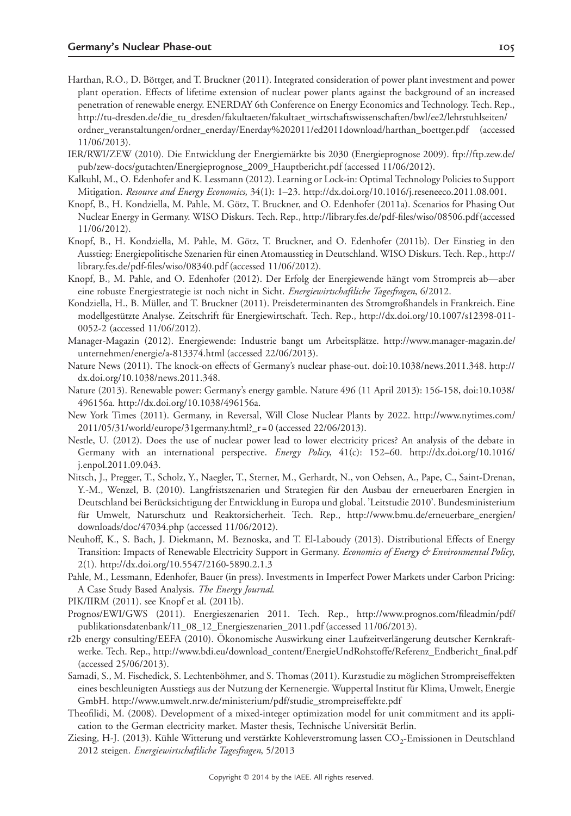- Harthan, R.O., D. Böttger, and T. Bruckner (2011). Integrated consideration of power plant investment and power plant operation. Effects of lifetime extension of nuclear power plants against the background of an increased penetration of renewable energy. ENERDAY 6th Conference on Energy Economics and Technology. Tech. Rep., http://tu-dresden.de/die\_tu\_dresden/fakultaeten/fakultaet\_wirtschaftswissenschaften/bwl/ee2/lehrstuhlseiten/ ordner\_veranstaltungen/ordner\_enerday/Enerday%202011/ed2011download/harthan\_boettger.pdf (accessed 11/06/2013).
- IER/RWI/ZEW (2010). Die Entwicklung der Energiemärkte bis 2030 (Energieprognose 2009). ftp://ftp.zew.de/ pub/zew-docs/gutachten/Energieprognose\_2009\_Hauptbericht.pdf (accessed 11/06/2012).
- Kalkuhl, M., O. Edenhofer and K. Lessmann (2012). Learning or Lock-in: Optimal Technology Policies to Support Mitigation. *Resource and Energy Economics*, 34(1): 1–23. http://dx.doi.org/10.1016/j.reseneeco.2011.08.001.
- Knopf, B., H. Kondziella, M. Pahle, M. Götz, T. Bruckner, and O. Edenhofer (2011a). Scenarios for Phasing Out Nuclear Energy in Germany. WISO Diskurs. Tech. Rep., http://library.fes.de/pdf-files/wiso/08506.pdf (accessed 11/06/2012).
- Knopf, B., H. Kondziella, M. Pahle, M. Götz, T. Bruckner, and O. Edenhofer (2011b). Der Einstieg in den Ausstieg: Energiepolitische Szenarien für einen Atomausstieg in Deutschland. WISO Diskurs. Tech. Rep., http:// library.fes.de/pdf-files/wiso/08340.pdf (accessed 11/06/2012).
- Knopf, B., M. Pahle, and O. Edenhofer (2012). Der Erfolg der Energiewende hängt vom Strompreis ab—aber eine robuste Energiestrategie ist noch nicht in Sicht. *Energiewirtschaftliche Tagesfragen*, 6/2012.
- Kondziella, H., B. Müller, and T. Bruckner (2011). Preisdeterminanten des Stromgroßhandels in Frankreich. Eine modellgestützte Analyse. Zeitschrift für Energiewirtschaft. Tech. Rep., http://dx.doi.org/10.1007/s12398-011-0052-2 (accessed 11/06/2012).
- Manager-Magazin (2012). Energiewende: Industrie bangt um Arbeitsplätze. http://www.manager-magazin.de/ unternehmen/energie/a-813374.html (accessed 22/06/2013).
- Nature News (2011). The knock-on effects of Germany's nuclear phase-out. doi:10.1038/news.2011.348. http:// dx.doi.org/10.1038/news.2011.348.
- Nature (2013). Renewable power: Germany's energy gamble. Nature 496 (11 April 2013): 156-158, doi:10.1038/ 496156a. http://dx.doi.org/10.1038/496156a.
- New York Times (2011). Germany, in Reversal, Will Close Nuclear Plants by 2022. http://www.nytimes.com/ 2011/05/31/world/europe/31germany.html?\_r = 0 (accessed 22/06/2013).
- Nestle, U. (2012). Does the use of nuclear power lead to lower electricity prices? An analysis of the debate in Germany with an international perspective. *Energy Policy*, 41(c): 152–60. http://dx.doi.org/10.1016/ j.enpol.2011.09.043.
- Nitsch, J., Pregger, T., Scholz, Y., Naegler, T., Sterner, M., Gerhardt, N., von Oehsen, A., Pape, C., Saint-Drenan, Y.-M., Wenzel, B. (2010). Langfristszenarien und Strategien für den Ausbau der erneuerbaren Energien in Deutschland bei Berücksichtigung der Entwicklung in Europa und global. 'Leitstudie 2010'. Bundesministerium für Umwelt, Naturschutz und Reaktorsicherheit. Tech. Rep., http://www.bmu.de/erneuerbare\_energien/ downloads/doc/47034.php (accessed 11/06/2012).
- Neuhoff, K., S. Bach, J. Diekmann, M. Beznoska, and T. El-Laboudy (2013). Distributional Effects of Energy Transition: Impacts of Renewable Electricity Support in Germany. *Economics of Energy & Environmental Policy*, 2(1). http://dx.doi.org/10.5547/2160-5890.2.1.3
- Pahle, M., Lessmann, Edenhofer, Bauer (in press). Investments in Imperfect Power Markets under Carbon Pricing: A Case Study Based Analysis. *The Energy Journal*.
- PIK/IIRM (2011). see Knopf et al. (2011b).
- Prognos/EWI/GWS (2011). Energieszenarien 2011. Tech. Rep., http://www.prognos.com/fileadmin/pdf/ publikationsdatenbank/11\_08\_12\_Energieszenarien\_2011.pdf (accessed 11/06/2013).
- r2b energy consulting/EEFA (2010). Ökonomische Auswirkung einer Laufzeitverlängerung deutscher Kernkraftwerke. Tech. Rep., http://www.bdi.eu/download\_content/EnergieUndRohstoffe/Referenz\_Endbericht\_final.pdf (accessed 25/06/2013).
- Samadi, S., M. Fischedick, S. Lechtenböhmer, and S. Thomas (2011). Kurzstudie zu möglichen Strompreiseffekten eines beschleunigten Ausstiegs aus der Nutzung der Kernenergie. Wuppertal Institut für Klima, Umwelt, Energie GmbH. http://www.umwelt.nrw.de/ministerium/pdf/studie\_strompreiseffekte.pdf
- Theofilidi, M. (2008). Development of a mixed-integer optimization model for unit commitment and its application to the German electricity market. Master thesis, Technische Universität Berlin.
- Ziesing, H-J. (2013). Kühle Witterung und verstärkte Kohleverstromung lassen CO<sub>2</sub>-Emissionen in Deutschland 2012 steigen. *Energiewirtschaftliche Tagesfragen*, 5/2013